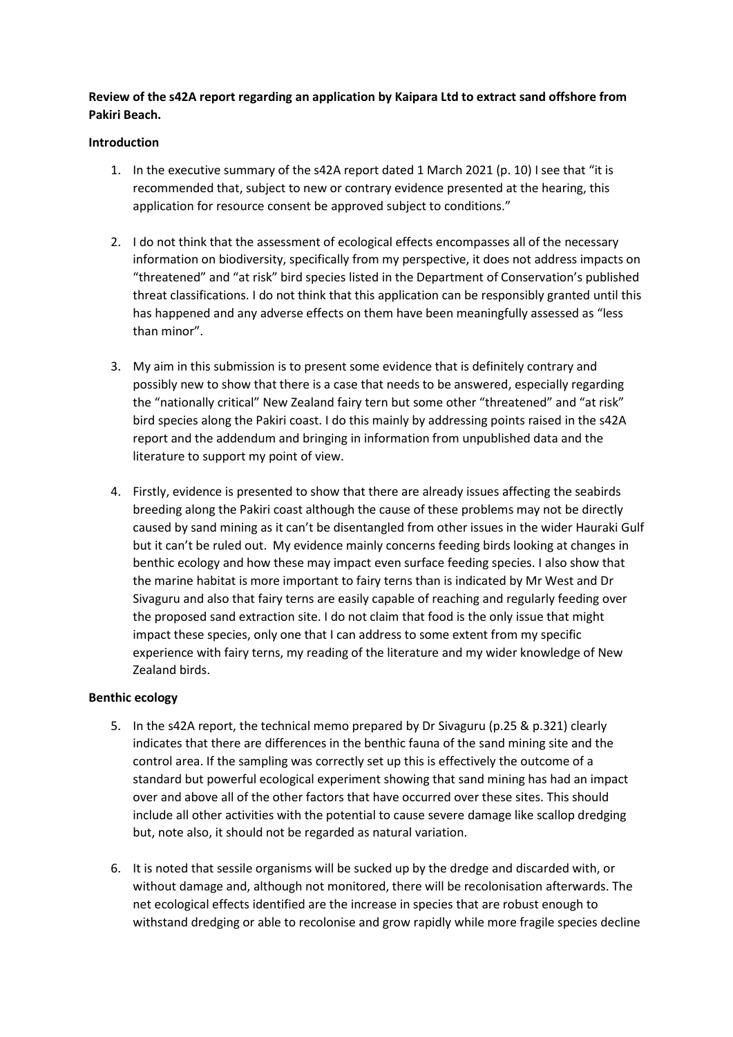# **Review of the s42A report regarding an application by Kaipara Ltd to extract sand offshore from Pakiri Beach.**

## **Introduction**

- 1. In the executive summary of the s42A report dated 1 March 2021 (p. 10) I see that "it is recommended that, subject to new or contrary evidence presented at the hearing, this application for resource consent be approved subject to conditions."
- 2. I do not think that the assessment of ecological effects encompasses all of the necessary information on biodiversity, specifically from my perspective, it does not address impacts on "threatened" and "at risk" bird species listed in the Department of Conservation's published threat classifications. I do not think that this application can be responsibly granted until this has happened and any adverse effects on them have been meaningfully assessed as "less than minor".
- 3. My aim in this submission is to present some evidence that is definitely contrary and possibly new to show that there is a case that needs to be answered, especially regarding the "nationally critical" New Zealand fairy tern but some other "threatened" and "at risk" bird species along the Pakiri coast. I do this mainly by addressing points raised in the s42A report and the addendum and bringing in information from unpublished data and the literature to support my point of view.
- 4. Firstly, evidence is presented to show that there are already issues affecting the seabirds breeding along the Pakiri coast although the cause of these problems may not be directly caused by sand mining as it can't be disentangled from other issues in the wider Hauraki Gulf but it can't be ruled out. My evidence mainly concerns feeding birds looking at changes in benthic ecology and how these may impact even surface feeding species. I also show that the marine habitat is more important to fairy terns than is indicated by Mr West and Dr Sivaguru and also that fairy terns are easily capable of reaching and regularly feeding over the proposed sand extraction site. I do not claim that food is the only issue that might impact these species, only one that I can address to some extent from my specific experience with fairy terns, my reading of the literature and my wider knowledge of New Zealand birds.

## **Benthic ecology**

- 5. In the s42A report, the technical memo prepared by Dr Sivaguru (p.25 & p.321) clearly indicates that there are differences in the benthic fauna of the sand mining site and the control area. If the sampling was correctly set up this is effectively the outcome of a standard but powerful ecological experiment showing that sand mining has had an impact over and above all of the other factors that have occurred over these sites. This should include all other activities with the potential to cause severe damage like scallop dredging but, note also, it should not be regarded as natural variation.
- 6. It is noted that sessile organisms will be sucked up by the dredge and discarded with, or without damage and, although not monitored, there will be recolonisation afterwards. The net ecological effects identified are the increase in species that are robust enough to withstand dredging or able to recolonise and grow rapidly while more fragile species decline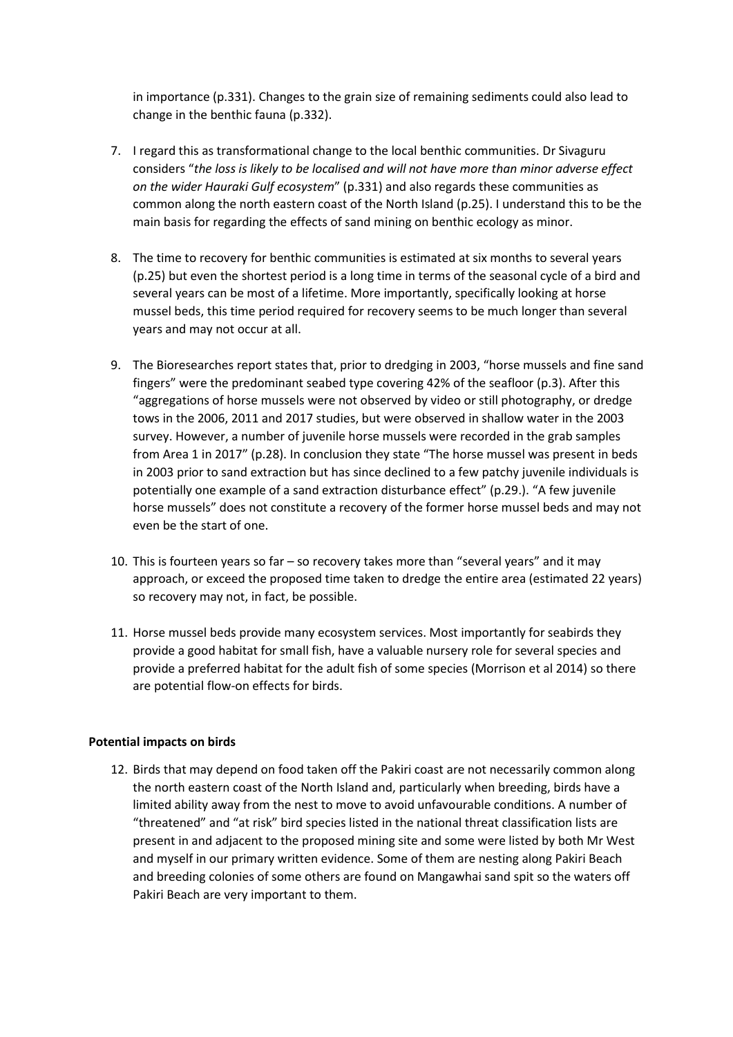in importance (p.331). Changes to the grain size of remaining sediments could also lead to change in the benthic fauna (p.332).

- 7. I regard this as transformational change to the local benthic communities. Dr Sivaguru considers "*the loss is likely to be localised and will not have more than minor adverse effect on the wider Hauraki Gulf ecosystem*" (p.331) and also regards these communities as common along the north eastern coast of the North Island (p.25). I understand this to be the main basis for regarding the effects of sand mining on benthic ecology as minor.
- 8. The time to recovery for benthic communities is estimated at six months to several years (p.25) but even the shortest period is a long time in terms of the seasonal cycle of a bird and several years can be most of a lifetime. More importantly, specifically looking at horse mussel beds, this time period required for recovery seems to be much longer than several years and may not occur at all.
- 9. The Bioresearches report states that, prior to dredging in 2003, "horse mussels and fine sand fingers" were the predominant seabed type covering 42% of the seafloor (p.3). After this "aggregations of horse mussels were not observed by video or still photography, or dredge tows in the 2006, 2011 and 2017 studies, but were observed in shallow water in the 2003 survey. However, a number of juvenile horse mussels were recorded in the grab samples from Area 1 in 2017" (p.28). In conclusion they state "The horse mussel was present in beds in 2003 prior to sand extraction but has since declined to a few patchy juvenile individuals is potentially one example of a sand extraction disturbance effect" (p.29.). "A few juvenile horse mussels" does not constitute a recovery of the former horse mussel beds and may not even be the start of one.
- 10. This is fourteen years so far so recovery takes more than "several years" and it may approach, or exceed the proposed time taken to dredge the entire area (estimated 22 years) so recovery may not, in fact, be possible.
- 11. Horse mussel beds provide many ecosystem services. Most importantly for seabirds they provide a good habitat for small fish, have a valuable nursery role for several species and provide a preferred habitat for the adult fish of some species (Morrison et al 2014) so there are potential flow-on effects for birds.

## **Potential impacts on birds**

12. Birds that may depend on food taken off the Pakiri coast are not necessarily common along the north eastern coast of the North Island and, particularly when breeding, birds have a limited ability away from the nest to move to avoid unfavourable conditions. A number of "threatened" and "at risk" bird species listed in the national threat classification lists are present in and adjacent to the proposed mining site and some were listed by both Mr West and myself in our primary written evidence. Some of them are nesting along Pakiri Beach and breeding colonies of some others are found on Mangawhai sand spit so the waters off Pakiri Beach are very important to them.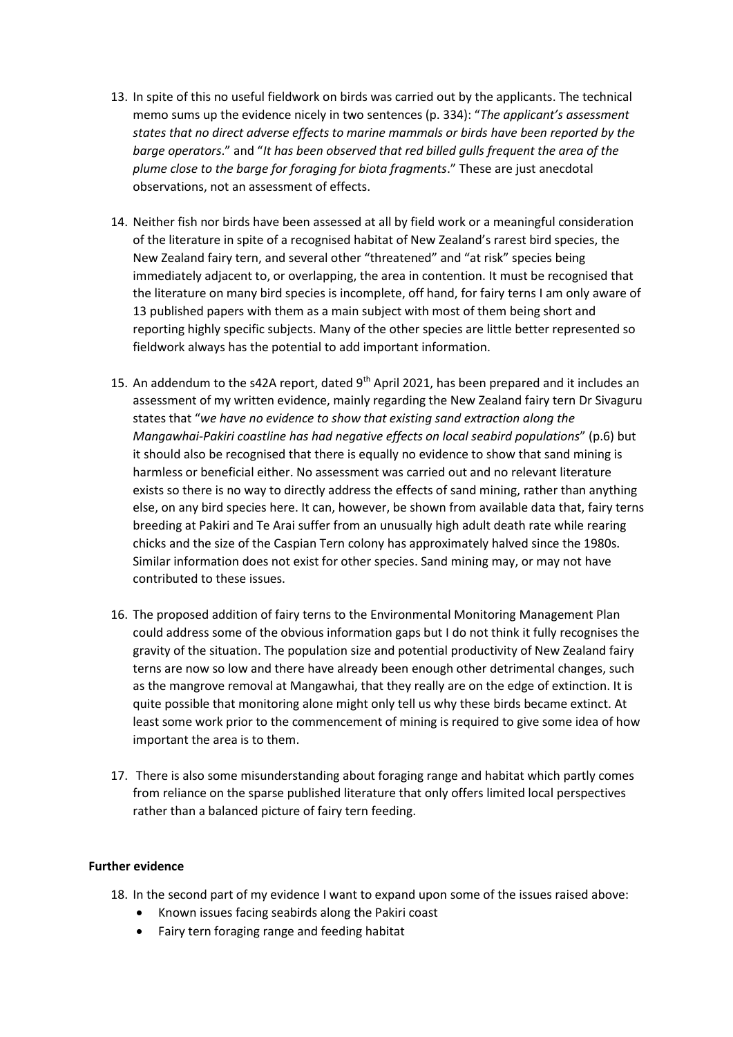- 13. In spite of this no useful fieldwork on birds was carried out by the applicants. The technical memo sums up the evidence nicely in two sentences (p. 334): "*The applicant's assessment states that no direct adverse effects to marine mammals or birds have been reported by the barge operators*." and "*It has been observed that red billed gulls frequent the area of the plume close to the barge for foraging for biota fragments*." These are just anecdotal observations, not an assessment of effects.
- 14. Neither fish nor birds have been assessed at all by field work or a meaningful consideration of the literature in spite of a recognised habitat of New Zealand's rarest bird species, the New Zealand fairy tern, and several other "threatened" and "at risk" species being immediately adjacent to, or overlapping, the area in contention. It must be recognised that the literature on many bird species is incomplete, off hand, for fairy terns I am only aware of 13 published papers with them as a main subject with most of them being short and reporting highly specific subjects. Many of the other species are little better represented so fieldwork always has the potential to add important information.
- 15. An addendum to the s42A report, dated  $9<sup>th</sup>$  April 2021, has been prepared and it includes an assessment of my written evidence, mainly regarding the New Zealand fairy tern Dr Sivaguru states that "*we have no evidence to show that existing sand extraction along the Mangawhai-Pakiri coastline has had negative effects on local seabird populations*" (p.6) but it should also be recognised that there is equally no evidence to show that sand mining is harmless or beneficial either. No assessment was carried out and no relevant literature exists so there is no way to directly address the effects of sand mining, rather than anything else, on any bird species here. It can, however, be shown from available data that, fairy terns breeding at Pakiri and Te Arai suffer from an unusually high adult death rate while rearing chicks and the size of the Caspian Tern colony has approximately halved since the 1980s. Similar information does not exist for other species. Sand mining may, or may not have contributed to these issues.
- 16. The proposed addition of fairy terns to the Environmental Monitoring Management Plan could address some of the obvious information gaps but I do not think it fully recognises the gravity of the situation. The population size and potential productivity of New Zealand fairy terns are now so low and there have already been enough other detrimental changes, such as the mangrove removal at Mangawhai, that they really are on the edge of extinction. It is quite possible that monitoring alone might only tell us why these birds became extinct. At least some work prior to the commencement of mining is required to give some idea of how important the area is to them.
- 17. There is also some misunderstanding about foraging range and habitat which partly comes from reliance on the sparse published literature that only offers limited local perspectives rather than a balanced picture of fairy tern feeding.

## **Further evidence**

- 18. In the second part of my evidence I want to expand upon some of the issues raised above:
	- Known issues facing seabirds along the Pakiri coast
	- Fairy tern foraging range and feeding habitat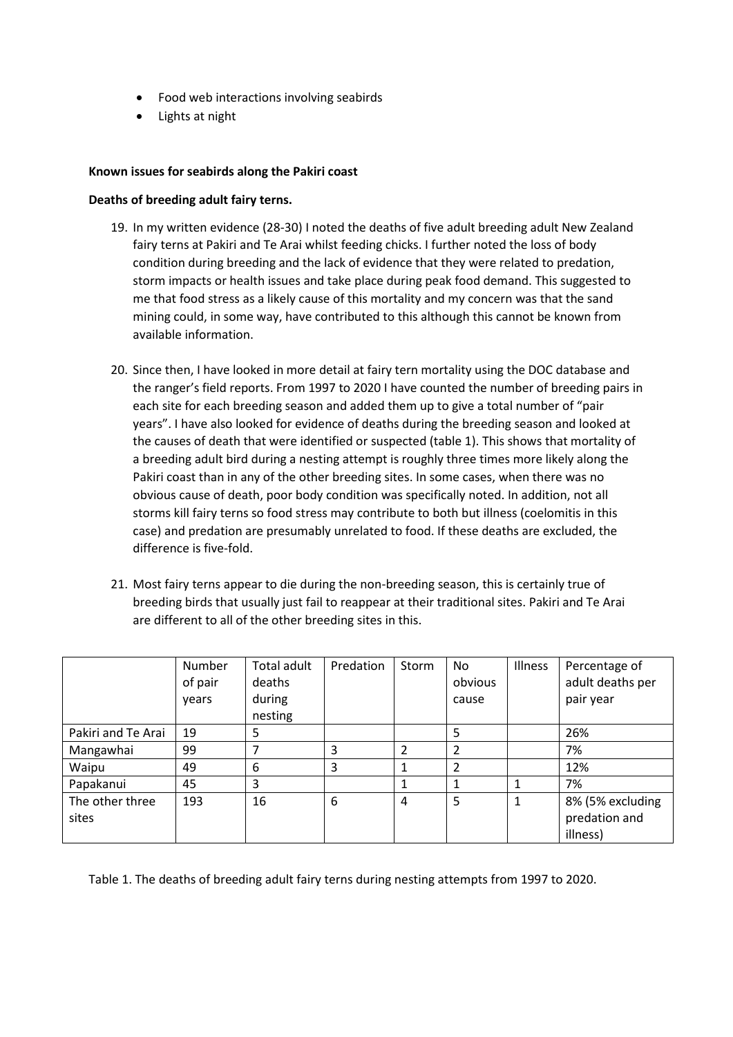- Food web interactions involving seabirds
- Lights at night

## **Known issues for seabirds along the Pakiri coast**

## **Deaths of breeding adult fairy terns.**

- 19. In my written evidence (28-30) I noted the deaths of five adult breeding adult New Zealand fairy terns at Pakiri and Te Arai whilst feeding chicks. I further noted the loss of body condition during breeding and the lack of evidence that they were related to predation, storm impacts or health issues and take place during peak food demand. This suggested to me that food stress as a likely cause of this mortality and my concern was that the sand mining could, in some way, have contributed to this although this cannot be known from available information.
- 20. Since then, I have looked in more detail at fairy tern mortality using the DOC database and the ranger's field reports. From 1997 to 2020 I have counted the number of breeding pairs in each site for each breeding season and added them up to give a total number of "pair years". I have also looked for evidence of deaths during the breeding season and looked at the causes of death that were identified or suspected (table 1). This shows that mortality of a breeding adult bird during a nesting attempt is roughly three times more likely along the Pakiri coast than in any of the other breeding sites. In some cases, when there was no obvious cause of death, poor body condition was specifically noted. In addition, not all storms kill fairy terns so food stress may contribute to both but illness (coelomitis in this case) and predation are presumably unrelated to food. If these deaths are excluded, the difference is five-fold.
- 21. Most fairy terns appear to die during the non-breeding season, this is certainly true of breeding birds that usually just fail to reappear at their traditional sites. Pakiri and Te Arai are different to all of the other breeding sites in this.

|                    | Number  | Total adult | Predation | Storm | No             | Illness | Percentage of    |
|--------------------|---------|-------------|-----------|-------|----------------|---------|------------------|
|                    | of pair | deaths      |           |       | obvious        |         | adult deaths per |
|                    | years   | during      |           |       | cause          |         | pair year        |
|                    |         | nesting     |           |       |                |         |                  |
| Pakiri and Te Arai | 19      | 5           |           |       | 5              |         | 26%              |
| Mangawhai          | 99      |             | 3         | 2     | 2              |         | 7%               |
| Waipu              | 49      | 6           | 3         |       | $\overline{2}$ |         | 12%              |
| Papakanui          | 45      | 3           |           |       | 1              |         | 7%               |
| The other three    | 193     | 16          | 6         | 4     | 5              | 1       | 8% (5% excluding |
| sites              |         |             |           |       |                |         | predation and    |
|                    |         |             |           |       |                |         | illness)         |

Table 1. The deaths of breeding adult fairy terns during nesting attempts from 1997 to 2020.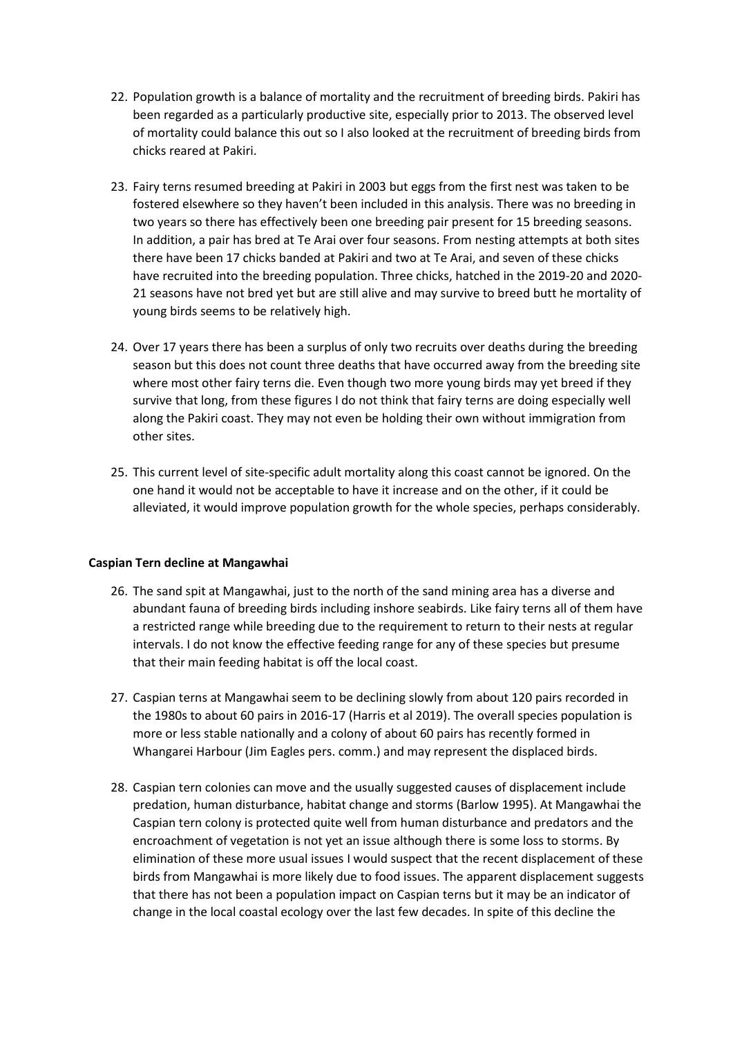- 22. Population growth is a balance of mortality and the recruitment of breeding birds. Pakiri has been regarded as a particularly productive site, especially prior to 2013. The observed level of mortality could balance this out so I also looked at the recruitment of breeding birds from chicks reared at Pakiri.
- 23. Fairy terns resumed breeding at Pakiri in 2003 but eggs from the first nest was taken to be fostered elsewhere so they haven't been included in this analysis. There was no breeding in two years so there has effectively been one breeding pair present for 15 breeding seasons. In addition, a pair has bred at Te Arai over four seasons. From nesting attempts at both sites there have been 17 chicks banded at Pakiri and two at Te Arai, and seven of these chicks have recruited into the breeding population. Three chicks, hatched in the 2019-20 and 2020- 21 seasons have not bred yet but are still alive and may survive to breed butt he mortality of young birds seems to be relatively high.
- 24. Over 17 years there has been a surplus of only two recruits over deaths during the breeding season but this does not count three deaths that have occurred away from the breeding site where most other fairy terns die. Even though two more young birds may yet breed if they survive that long, from these figures I do not think that fairy terns are doing especially well along the Pakiri coast. They may not even be holding their own without immigration from other sites.
- 25. This current level of site-specific adult mortality along this coast cannot be ignored. On the one hand it would not be acceptable to have it increase and on the other, if it could be alleviated, it would improve population growth for the whole species, perhaps considerably.

## **Caspian Tern decline at Mangawhai**

- 26. The sand spit at Mangawhai, just to the north of the sand mining area has a diverse and abundant fauna of breeding birds including inshore seabirds. Like fairy terns all of them have a restricted range while breeding due to the requirement to return to their nests at regular intervals. I do not know the effective feeding range for any of these species but presume that their main feeding habitat is off the local coast.
- 27. Caspian terns at Mangawhai seem to be declining slowly from about 120 pairs recorded in the 1980s to about 60 pairs in 2016-17 (Harris et al 2019). The overall species population is more or less stable nationally and a colony of about 60 pairs has recently formed in Whangarei Harbour (Jim Eagles pers. comm.) and may represent the displaced birds.
- 28. Caspian tern colonies can move and the usually suggested causes of displacement include predation, human disturbance, habitat change and storms (Barlow 1995). At Mangawhai the Caspian tern colony is protected quite well from human disturbance and predators and the encroachment of vegetation is not yet an issue although there is some loss to storms. By elimination of these more usual issues I would suspect that the recent displacement of these birds from Mangawhai is more likely due to food issues. The apparent displacement suggests that there has not been a population impact on Caspian terns but it may be an indicator of change in the local coastal ecology over the last few decades. In spite of this decline the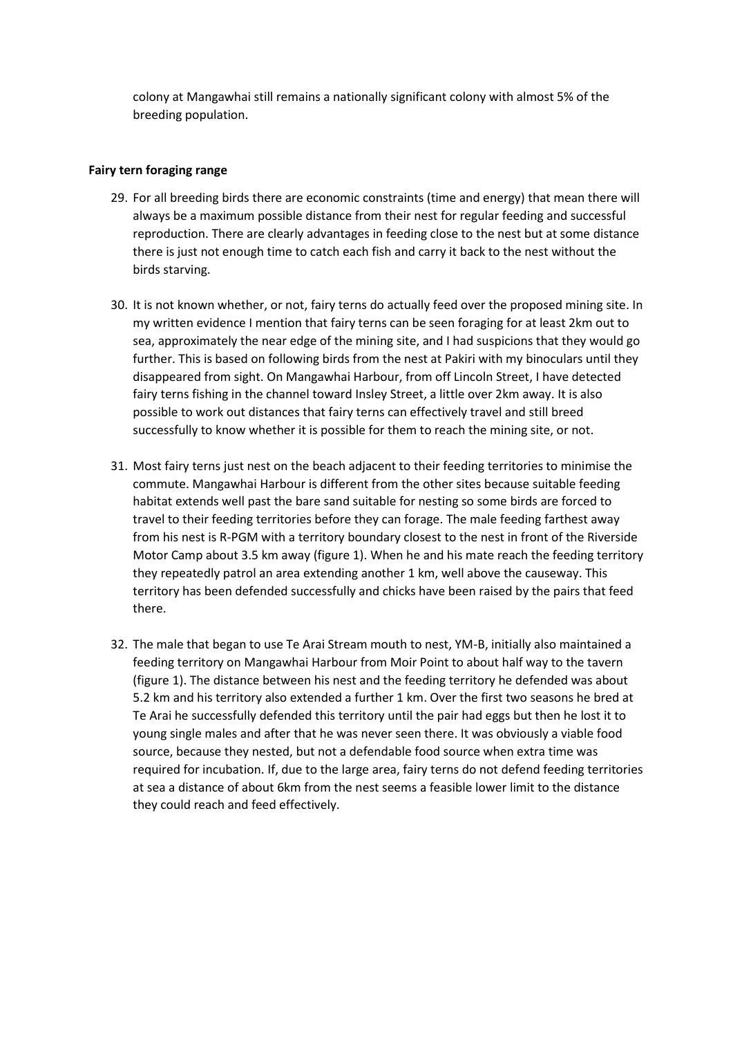colony at Mangawhai still remains a nationally significant colony with almost 5% of the breeding population.

## **Fairy tern foraging range**

- 29. For all breeding birds there are economic constraints (time and energy) that mean there will always be a maximum possible distance from their nest for regular feeding and successful reproduction. There are clearly advantages in feeding close to the nest but at some distance there is just not enough time to catch each fish and carry it back to the nest without the birds starving.
- 30. It is not known whether, or not, fairy terns do actually feed over the proposed mining site. In my written evidence I mention that fairy terns can be seen foraging for at least 2km out to sea, approximately the near edge of the mining site, and I had suspicions that they would go further. This is based on following birds from the nest at Pakiri with my binoculars until they disappeared from sight. On Mangawhai Harbour, from off Lincoln Street, I have detected fairy terns fishing in the channel toward Insley Street, a little over 2km away. It is also possible to work out distances that fairy terns can effectively travel and still breed successfully to know whether it is possible for them to reach the mining site, or not.
- 31. Most fairy terns just nest on the beach adjacent to their feeding territories to minimise the commute. Mangawhai Harbour is different from the other sites because suitable feeding habitat extends well past the bare sand suitable for nesting so some birds are forced to travel to their feeding territories before they can forage. The male feeding farthest away from his nest is R-PGM with a territory boundary closest to the nest in front of the Riverside Motor Camp about 3.5 km away (figure 1). When he and his mate reach the feeding territory they repeatedly patrol an area extending another 1 km, well above the causeway. This territory has been defended successfully and chicks have been raised by the pairs that feed there.
- 32. The male that began to use Te Arai Stream mouth to nest, YM-B, initially also maintained a feeding territory on Mangawhai Harbour from Moir Point to about half way to the tavern (figure 1). The distance between his nest and the feeding territory he defended was about 5.2 km and his territory also extended a further 1 km. Over the first two seasons he bred at Te Arai he successfully defended this territory until the pair had eggs but then he lost it to young single males and after that he was never seen there. It was obviously a viable food source, because they nested, but not a defendable food source when extra time was required for incubation. If, due to the large area, fairy terns do not defend feeding territories at sea a distance of about 6km from the nest seems a feasible lower limit to the distance they could reach and feed effectively.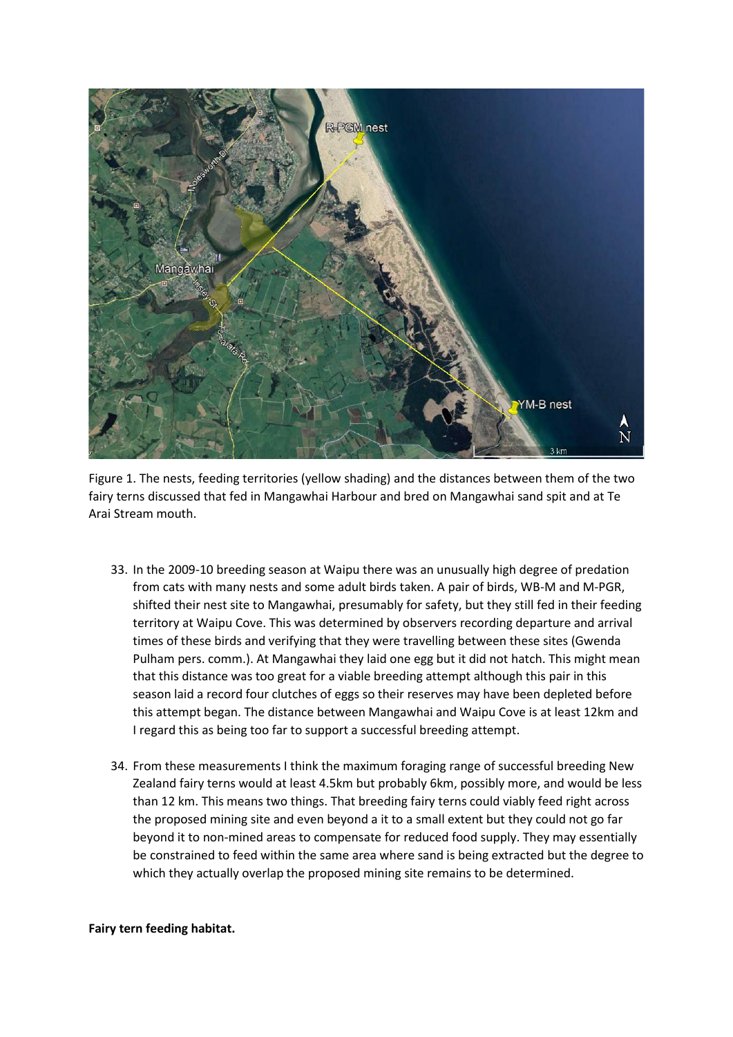

Figure 1. The nests, feeding territories (yellow shading) and the distances between them of the two fairy terns discussed that fed in Mangawhai Harbour and bred on Mangawhai sand spit and at Te Arai Stream mouth.

- 33. In the 2009-10 breeding season at Waipu there was an unusually high degree of predation from cats with many nests and some adult birds taken. A pair of birds, WB-M and M-PGR, shifted their nest site to Mangawhai, presumably for safety, but they still fed in their feeding territory at Waipu Cove. This was determined by observers recording departure and arrival times of these birds and verifying that they were travelling between these sites (Gwenda Pulham pers. comm.). At Mangawhai they laid one egg but it did not hatch. This might mean that this distance was too great for a viable breeding attempt although this pair in this season laid a record four clutches of eggs so their reserves may have been depleted before this attempt began. The distance between Mangawhai and Waipu Cove is at least 12km and I regard this as being too far to support a successful breeding attempt.
- 34. From these measurements I think the maximum foraging range of successful breeding New Zealand fairy terns would at least 4.5km but probably 6km, possibly more, and would be less than 12 km. This means two things. That breeding fairy terns could viably feed right across the proposed mining site and even beyond a it to a small extent but they could not go far beyond it to non-mined areas to compensate for reduced food supply. They may essentially be constrained to feed within the same area where sand is being extracted but the degree to which they actually overlap the proposed mining site remains to be determined.

## **Fairy tern feeding habitat.**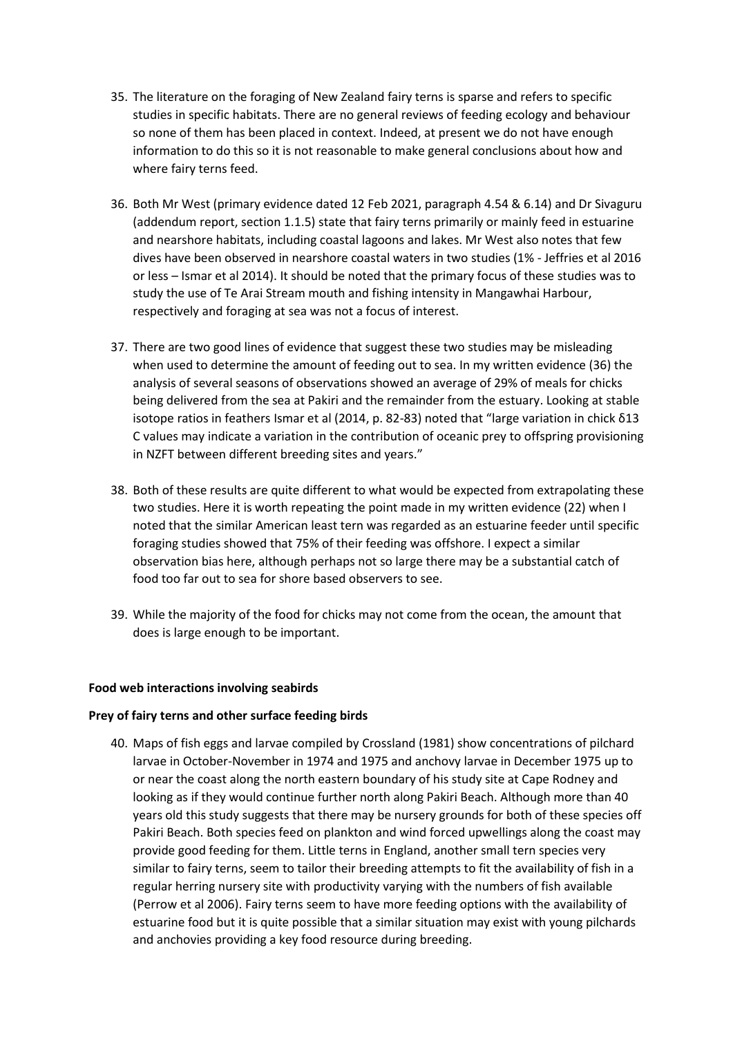- 35. The literature on the foraging of New Zealand fairy terns is sparse and refers to specific studies in specific habitats. There are no general reviews of feeding ecology and behaviour so none of them has been placed in context. Indeed, at present we do not have enough information to do this so it is not reasonable to make general conclusions about how and where fairy terns feed.
- 36. Both Mr West (primary evidence dated 12 Feb 2021, paragraph 4.54 & 6.14) and Dr Sivaguru (addendum report, section 1.1.5) state that fairy terns primarily or mainly feed in estuarine and nearshore habitats, including coastal lagoons and lakes. Mr West also notes that few dives have been observed in nearshore coastal waters in two studies (1% - Jeffries et al 2016 or less – Ismar et al 2014). It should be noted that the primary focus of these studies was to study the use of Te Arai Stream mouth and fishing intensity in Mangawhai Harbour, respectively and foraging at sea was not a focus of interest.
- 37. There are two good lines of evidence that suggest these two studies may be misleading when used to determine the amount of feeding out to sea. In my written evidence (36) the analysis of several seasons of observations showed an average of 29% of meals for chicks being delivered from the sea at Pakiri and the remainder from the estuary. Looking at stable isotope ratios in feathers Ismar et al (2014, p. 82-83) noted that "large variation in chick δ13 C values may indicate a variation in the contribution of oceanic prey to offspring provisioning in NZFT between different breeding sites and years."
- 38. Both of these results are quite different to what would be expected from extrapolating these two studies. Here it is worth repeating the point made in my written evidence (22) when I noted that the similar American least tern was regarded as an estuarine feeder until specific foraging studies showed that 75% of their feeding was offshore. I expect a similar observation bias here, although perhaps not so large there may be a substantial catch of food too far out to sea for shore based observers to see.
- 39. While the majority of the food for chicks may not come from the ocean, the amount that does is large enough to be important.

## **Food web interactions involving seabirds**

## **Prey of fairy terns and other surface feeding birds**

40. Maps of fish eggs and larvae compiled by Crossland (1981) show concentrations of pilchard larvae in October-November in 1974 and 1975 and anchovy larvae in December 1975 up to or near the coast along the north eastern boundary of his study site at Cape Rodney and looking as if they would continue further north along Pakiri Beach. Although more than 40 years old this study suggests that there may be nursery grounds for both of these species off Pakiri Beach. Both species feed on plankton and wind forced upwellings along the coast may provide good feeding for them. Little terns in England, another small tern species very similar to fairy terns, seem to tailor their breeding attempts to fit the availability of fish in a regular herring nursery site with productivity varying with the numbers of fish available (Perrow et al 2006). Fairy terns seem to have more feeding options with the availability of estuarine food but it is quite possible that a similar situation may exist with young pilchards and anchovies providing a key food resource during breeding.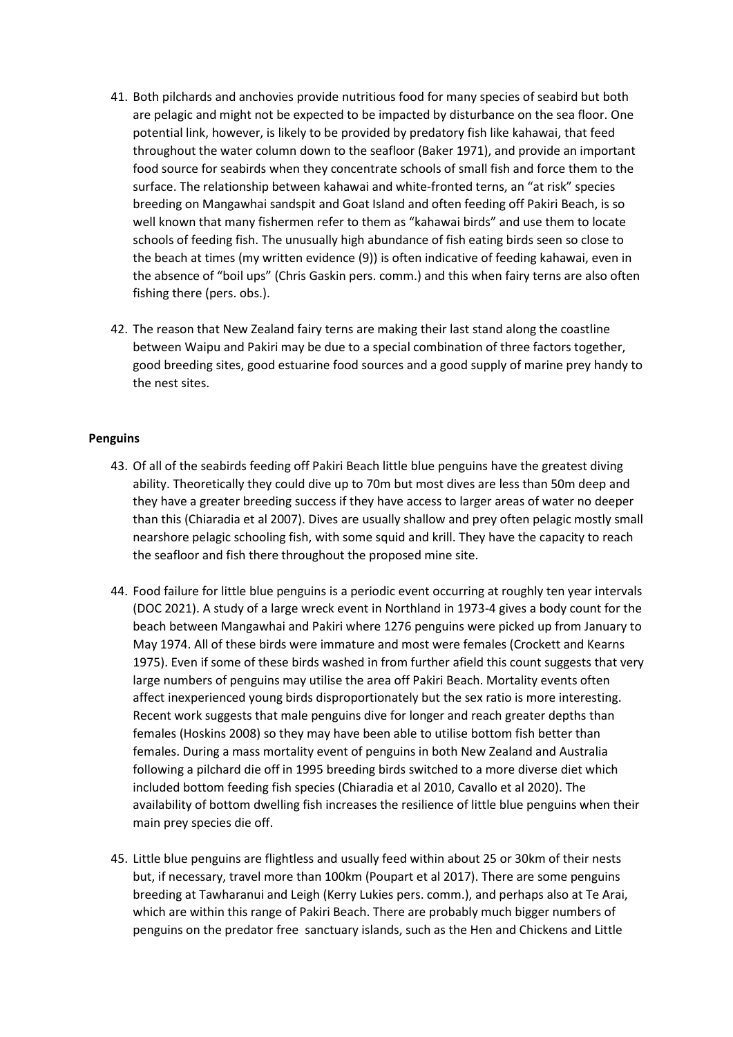- 41. Both pilchards and anchovies provide nutritious food for many species of seabird but both are pelagic and might not be expected to be impacted by disturbance on the sea floor. One potential link, however, is likely to be provided by predatory fish like kahawai, that feed throughout the water column down to the seafloor (Baker 1971), and provide an important food source for seabirds when they concentrate schools of small fish and force them to the surface. The relationship between kahawai and white-fronted terns, an "at risk" species breeding on Mangawhai sandspit and Goat Island and often feeding off Pakiri Beach, is so well known that many fishermen refer to them as "kahawai birds" and use them to locate schools of feeding fish. The unusually high abundance of fish eating birds seen so close to the beach at times (my written evidence (9)) is often indicative of feeding kahawai, even in the absence of "boil ups" (Chris Gaskin pers. comm.) and this when fairy terns are also often fishing there (pers. obs.).
- 42. The reason that New Zealand fairy terns are making their last stand along the coastline between Waipu and Pakiri may be due to a special combination of three factors together, good breeding sites, good estuarine food sources and a good supply of marine prey handy to the nest sites.

## **Penguins**

- 43. Of all of the seabirds feeding off Pakiri Beach little blue penguins have the greatest diving ability. Theoretically they could dive up to 70m but most dives are less than 50m deep and they have a greater breeding success if they have access to larger areas of water no deeper than this (Chiaradia et al 2007). Dives are usually shallow and prey often pelagic mostly small nearshore pelagic schooling fish, with some squid and krill. They have the capacity to reach the seafloor and fish there throughout the proposed mine site.
- 44. Food failure for little blue penguins is a periodic event occurring at roughly ten year intervals (DOC 2021). A study of a large wreck event in Northland in 1973-4 gives a body count for the beach between Mangawhai and Pakiri where 1276 penguins were picked up from January to May 1974. All of these birds were immature and most were females (Crockett and Kearns 1975). Even if some of these birds washed in from further afield this count suggests that very large numbers of penguins may utilise the area off Pakiri Beach. Mortality events often affect inexperienced young birds disproportionately but the sex ratio is more interesting. Recent work suggests that male penguins dive for longer and reach greater depths than females (Hoskins 2008) so they may have been able to utilise bottom fish better than females. During a mass mortality event of penguins in both New Zealand and Australia following a pilchard die off in 1995 breeding birds switched to a more diverse diet which included bottom feeding fish species (Chiaradia et al 2010, Cavallo et al 2020). The availability of bottom dwelling fish increases the resilience of little blue penguins when their main prey species die off.
- 45. Little blue penguins are flightless and usually feed within about 25 or 30km of their nests but, if necessary, travel more than 100km (Poupart et al 2017). There are some penguins breeding at Tawharanui and Leigh (Kerry Lukies pers. comm.), and perhaps also at Te Arai, which are within this range of Pakiri Beach. There are probably much bigger numbers of penguins on the predator free sanctuary islands, such as the Hen and Chickens and Little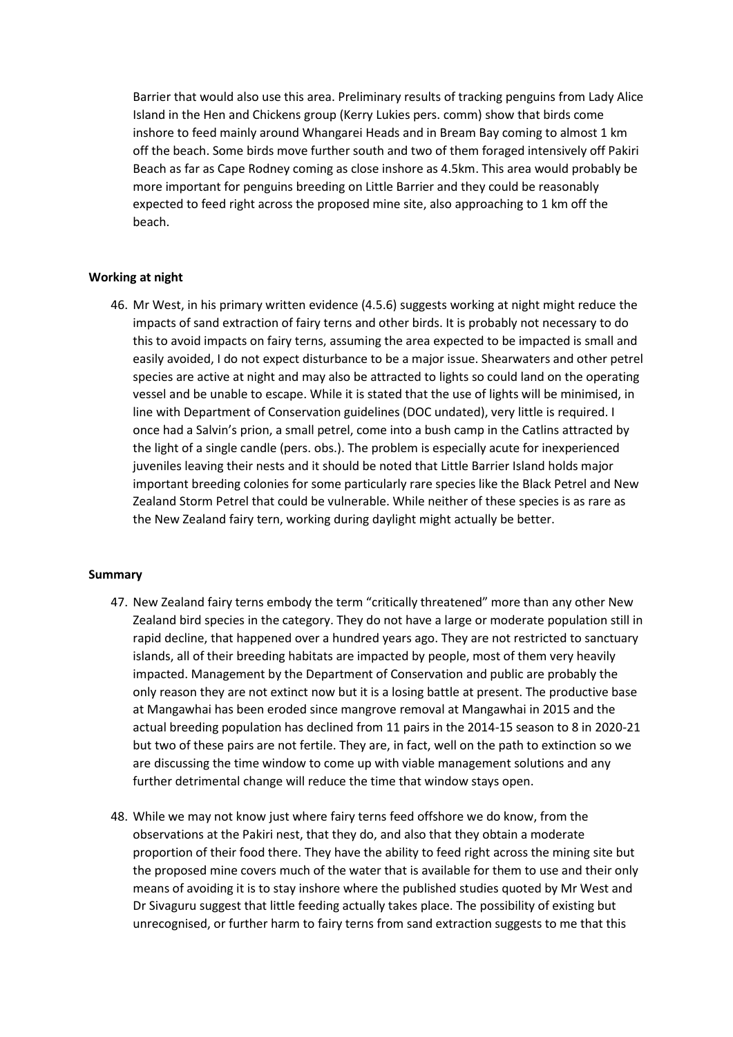Barrier that would also use this area. Preliminary results of tracking penguins from Lady Alice Island in the Hen and Chickens group (Kerry Lukies pers. comm) show that birds come inshore to feed mainly around Whangarei Heads and in Bream Bay coming to almost 1 km off the beach. Some birds move further south and two of them foraged intensively off Pakiri Beach as far as Cape Rodney coming as close inshore as 4.5km. This area would probably be more important for penguins breeding on Little Barrier and they could be reasonably expected to feed right across the proposed mine site, also approaching to 1 km off the beach.

## **Working at night**

46. Mr West, in his primary written evidence (4.5.6) suggests working at night might reduce the impacts of sand extraction of fairy terns and other birds. It is probably not necessary to do this to avoid impacts on fairy terns, assuming the area expected to be impacted is small and easily avoided, I do not expect disturbance to be a major issue. Shearwaters and other petrel species are active at night and may also be attracted to lights so could land on the operating vessel and be unable to escape. While it is stated that the use of lights will be minimised, in line with Department of Conservation guidelines (DOC undated), very little is required. I once had a Salvin's prion, a small petrel, come into a bush camp in the Catlins attracted by the light of a single candle (pers. obs.). The problem is especially acute for inexperienced juveniles leaving their nests and it should be noted that Little Barrier Island holds major important breeding colonies for some particularly rare species like the Black Petrel and New Zealand Storm Petrel that could be vulnerable. While neither of these species is as rare as the New Zealand fairy tern, working during daylight might actually be better.

## **Summary**

- 47. New Zealand fairy terns embody the term "critically threatened" more than any other New Zealand bird species in the category. They do not have a large or moderate population still in rapid decline, that happened over a hundred years ago. They are not restricted to sanctuary islands, all of their breeding habitats are impacted by people, most of them very heavily impacted. Management by the Department of Conservation and public are probably the only reason they are not extinct now but it is a losing battle at present. The productive base at Mangawhai has been eroded since mangrove removal at Mangawhai in 2015 and the actual breeding population has declined from 11 pairs in the 2014-15 season to 8 in 2020-21 but two of these pairs are not fertile. They are, in fact, well on the path to extinction so we are discussing the time window to come up with viable management solutions and any further detrimental change will reduce the time that window stays open.
- 48. While we may not know just where fairy terns feed offshore we do know, from the observations at the Pakiri nest, that they do, and also that they obtain a moderate proportion of their food there. They have the ability to feed right across the mining site but the proposed mine covers much of the water that is available for them to use and their only means of avoiding it is to stay inshore where the published studies quoted by Mr West and Dr Sivaguru suggest that little feeding actually takes place. The possibility of existing but unrecognised, or further harm to fairy terns from sand extraction suggests to me that this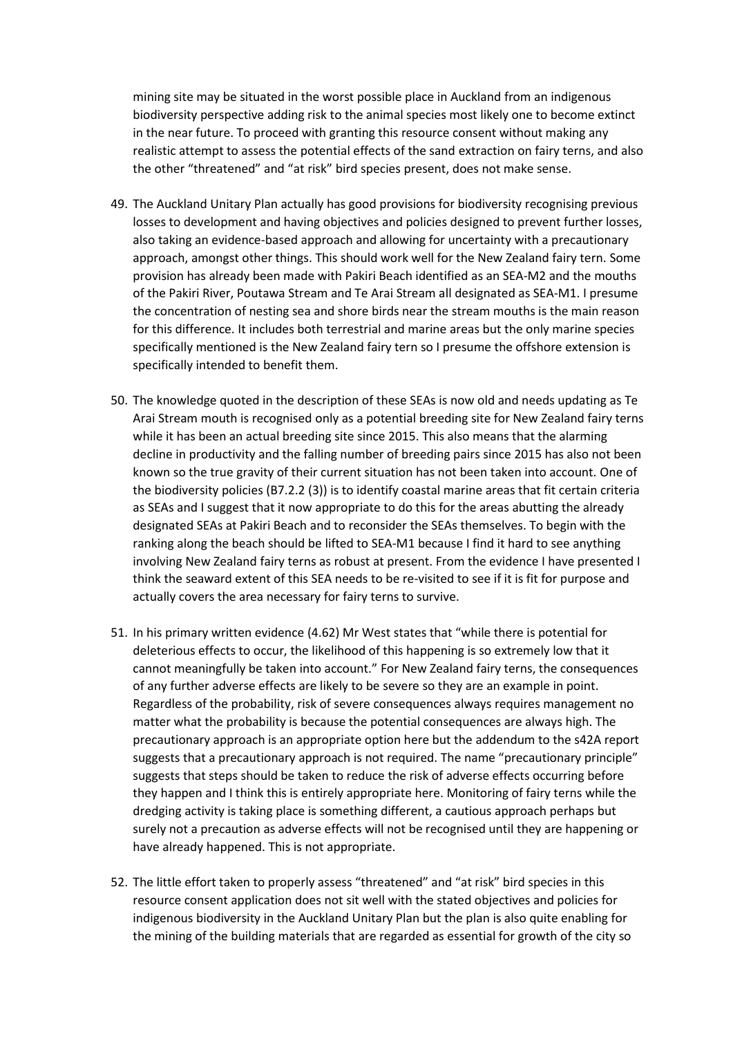mining site may be situated in the worst possible place in Auckland from an indigenous biodiversity perspective adding risk to the animal species most likely one to become extinct in the near future. To proceed with granting this resource consent without making any realistic attempt to assess the potential effects of the sand extraction on fairy terns, and also the other "threatened" and "at risk" bird species present, does not make sense.

- 49. The Auckland Unitary Plan actually has good provisions for biodiversity recognising previous losses to development and having objectives and policies designed to prevent further losses, also taking an evidence-based approach and allowing for uncertainty with a precautionary approach, amongst other things. This should work well for the New Zealand fairy tern. Some provision has already been made with Pakiri Beach identified as an SEA-M2 and the mouths of the Pakiri River, Poutawa Stream and Te Arai Stream all designated as SEA-M1. I presume the concentration of nesting sea and shore birds near the stream mouths is the main reason for this difference. It includes both terrestrial and marine areas but the only marine species specifically mentioned is the New Zealand fairy tern so I presume the offshore extension is specifically intended to benefit them.
- 50. The knowledge quoted in the description of these SEAs is now old and needs updating as Te Arai Stream mouth is recognised only as a potential breeding site for New Zealand fairy terns while it has been an actual breeding site since 2015. This also means that the alarming decline in productivity and the falling number of breeding pairs since 2015 has also not been known so the true gravity of their current situation has not been taken into account. One of the biodiversity policies (B7.2.2 (3)) is to identify coastal marine areas that fit certain criteria as SEAs and I suggest that it now appropriate to do this for the areas abutting the already designated SEAs at Pakiri Beach and to reconsider the SEAs themselves. To begin with the ranking along the beach should be lifted to SEA-M1 because I find it hard to see anything involving New Zealand fairy terns as robust at present. From the evidence I have presented I think the seaward extent of this SEA needs to be re-visited to see if it is fit for purpose and actually covers the area necessary for fairy terns to survive.
- 51. In his primary written evidence (4.62) Mr West states that "while there is potential for deleterious effects to occur, the likelihood of this happening is so extremely low that it cannot meaningfully be taken into account." For New Zealand fairy terns, the consequences of any further adverse effects are likely to be severe so they are an example in point. Regardless of the probability, risk of severe consequences always requires management no matter what the probability is because the potential consequences are always high. The precautionary approach is an appropriate option here but the addendum to the s42A report suggests that a precautionary approach is not required. The name "precautionary principle" suggests that steps should be taken to reduce the risk of adverse effects occurring before they happen and I think this is entirely appropriate here. Monitoring of fairy terns while the dredging activity is taking place is something different, a cautious approach perhaps but surely not a precaution as adverse effects will not be recognised until they are happening or have already happened. This is not appropriate.
- 52. The little effort taken to properly assess "threatened" and "at risk" bird species in this resource consent application does not sit well with the stated objectives and policies for indigenous biodiversity in the Auckland Unitary Plan but the plan is also quite enabling for the mining of the building materials that are regarded as essential for growth of the city so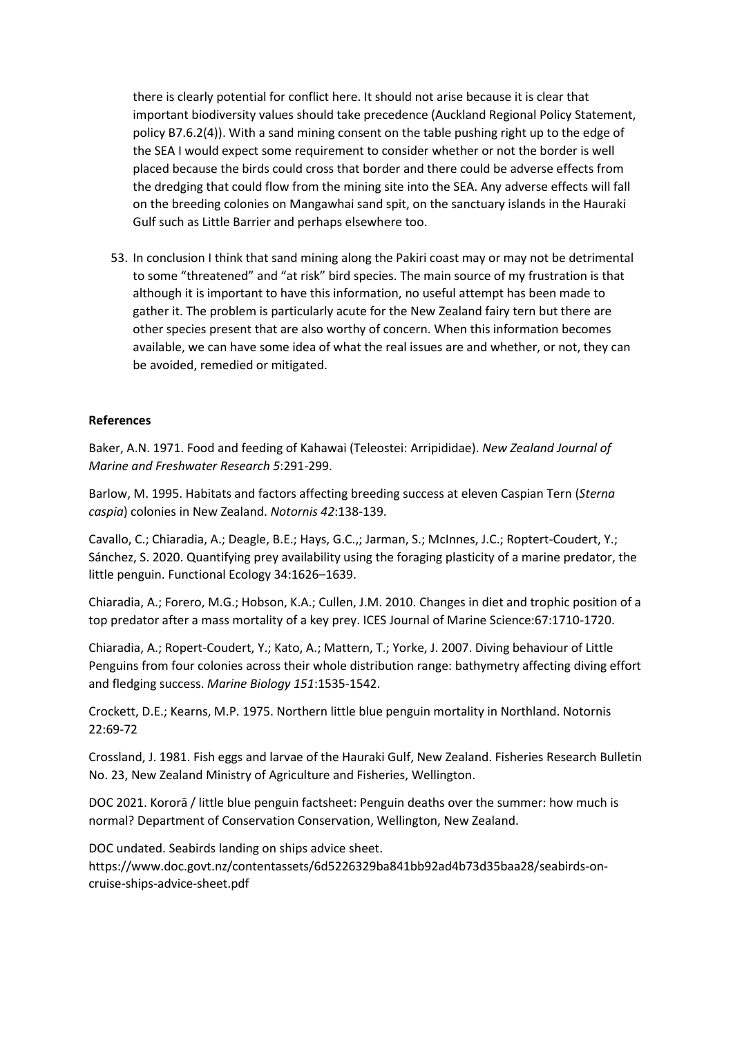there is clearly potential for conflict here. It should not arise because it is clear that important biodiversity values should take precedence (Auckland Regional Policy Statement, policy B7.6.2(4)). With a sand mining consent on the table pushing right up to the edge of the SEA I would expect some requirement to consider whether or not the border is well placed because the birds could cross that border and there could be adverse effects from the dredging that could flow from the mining site into the SEA. Any adverse effects will fall on the breeding colonies on Mangawhai sand spit, on the sanctuary islands in the Hauraki Gulf such as Little Barrier and perhaps elsewhere too.

53. In conclusion I think that sand mining along the Pakiri coast may or may not be detrimental to some "threatened" and "at risk" bird species. The main source of my frustration is that although it is important to have this information, no useful attempt has been made to gather it. The problem is particularly acute for the New Zealand fairy tern but there are other species present that are also worthy of concern. When this information becomes available, we can have some idea of what the real issues are and whether, or not, they can be avoided, remedied or mitigated.

## **References**

Baker, A.N. 1971. Food and feeding of Kahawai (Teleostei: Arripididae). *New Zealand Journal of Marine and Freshwater Research 5*:291-299.

Barlow, M. 1995. Habitats and factors affecting breeding success at eleven Caspian Tern (*Sterna caspia*) colonies in New Zealand. *Notornis 42*:138-139.

Cavallo, C.; Chiaradia, A.; Deagle, B.E.; Hays, G.C.,; Jarman, S.; McInnes, J.C.; Roptert-Coudert, Y.; Sánchez, S. 2020. Quantifying prey availability using the foraging plasticity of a marine predator, the little penguin. Functional Ecology 34:1626–1639.

Chiaradia, A.; Forero, M.G.; Hobson, K.A.; Cullen, J.M. 2010. Changes in diet and trophic position of a top predator after a mass mortality of a key prey. ICES Journal of Marine Science:67:1710-1720.

Chiaradia, A.; Ropert-Coudert, Y.; Kato, A.; Mattern, T.; Yorke, J. 2007. Diving behaviour of Little Penguins from four colonies across their whole distribution range: bathymetry affecting diving effort and fledging success. *Marine Biology 151*:1535-1542.

Crockett, D.E.; Kearns, M.P. 1975. Northern little blue penguin mortality in Northland. Notornis 22:69-72

Crossland, J. 1981. Fish eggs and larvae of the Hauraki Gulf, New Zealand. Fisheries Research Bulletin No. 23, New Zealand Ministry of Agriculture and Fisheries, Wellington.

DOC 2021. Kororā / little blue penguin factsheet: Penguin deaths over the summer: how much is normal? Department of Conservation Conservation, Wellington, New Zealand.

DOC undated. Seabirds landing on ships advice sheet. https://www.doc.govt.nz/contentassets/6d5226329ba841bb92ad4b73d35baa28/seabirds-oncruise-ships-advice-sheet.pdf